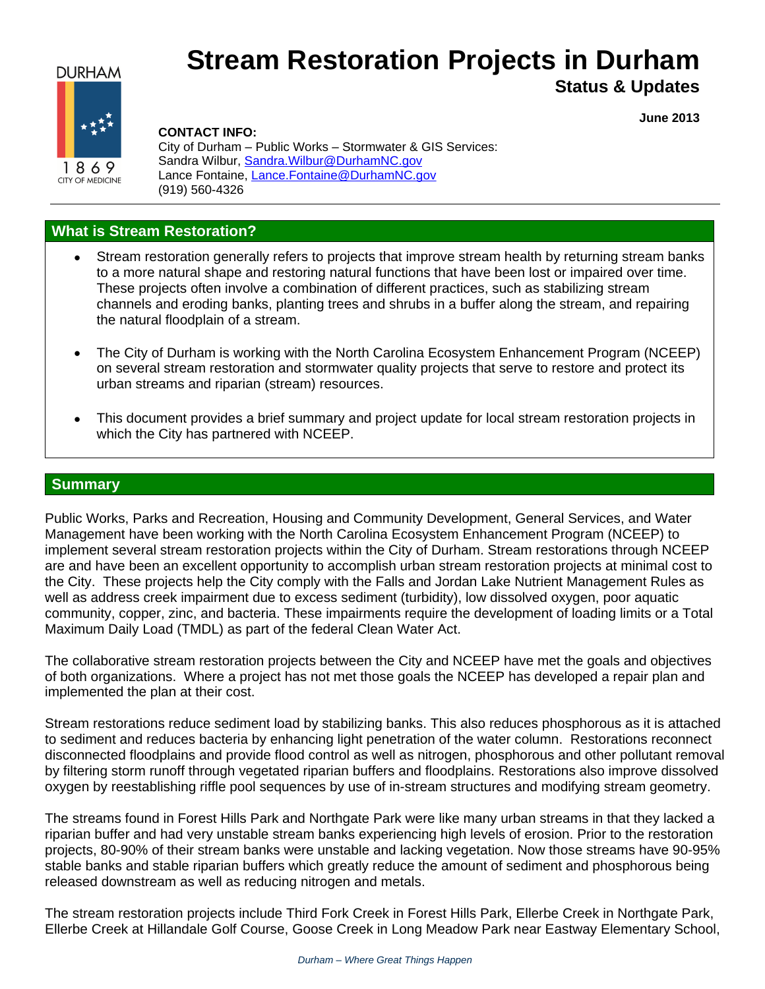# **DURHAM**



# **Stream Restoration Projects in Durham**

# **Status & Updates**

**June 2013**

**CITY OF MEDICINE** 

#### **CONTACT INFO:**

City of Durham – Public Works – Stormwater & GIS Services: Sandra Wilbur, Sandra. Wilbur@DurhamNC.gov Lance Fontaine, [Lance.Fontaine@DurhamNC.gov](mailto:Lance.Fontaine@DurhamNC.gov) (919) 560-4326

# **What is Stream Restoration?**

- Stream restoration generally refers to projects that improve stream health by returning stream banks to a more natural shape and restoring natural functions that have been lost or impaired over time. These projects often involve a combination of different practices, such as stabilizing stream channels and eroding banks, planting trees and shrubs in a buffer along the stream, and repairing the natural floodplain of a stream.
- The City of Durham is working with the North Carolina Ecosystem Enhancement Program (NCEEP) on several stream restoration and stormwater quality projects that serve to restore and protect its urban streams and riparian (stream) resources.
- This document provides a brief summary and project update for local stream restoration projects in which the City has partnered with NCEEP.

#### **Summary**

Public Works, Parks and Recreation, Housing and Community Development, General Services, and Water Management have been working with the North Carolina Ecosystem Enhancement Program (NCEEP) to implement several stream restoration projects within the City of Durham. Stream restorations through NCEEP are and have been an excellent opportunity to accomplish urban stream restoration projects at minimal cost to the City. These projects help the City comply with the Falls and Jordan Lake Nutrient Management Rules as well as address creek impairment due to excess sediment (turbidity), low dissolved oxygen, poor aquatic community, copper, zinc, and bacteria. These impairments require the development of loading limits or a Total Maximum Daily Load (TMDL) as part of the federal Clean Water Act.

The collaborative stream restoration projects between the City and NCEEP have met the goals and objectives of both organizations. Where a project has not met those goals the NCEEP has developed a repair plan and implemented the plan at their cost.

Stream restorations reduce sediment load by stabilizing banks. This also reduces phosphorous as it is attached to sediment and reduces bacteria by enhancing light penetration of the water column. Restorations reconnect disconnected floodplains and provide flood control as well as nitrogen, phosphorous and other pollutant removal by filtering storm runoff through vegetated riparian buffers and floodplains. Restorations also improve dissolved oxygen by reestablishing riffle pool sequences by use of in-stream structures and modifying stream geometry.

The streams found in Forest Hills Park and Northgate Park were like many urban streams in that they lacked a riparian buffer and had very unstable stream banks experiencing high levels of erosion. Prior to the restoration projects, 80-90% of their stream banks were unstable and lacking vegetation. Now those streams have 90-95% stable banks and stable riparian buffers which greatly reduce the amount of sediment and phosphorous being released downstream as well as reducing nitrogen and metals.

The stream restoration projects include Third Fork Creek in Forest Hills Park, Ellerbe Creek in Northgate Park, Ellerbe Creek at Hillandale Golf Course, Goose Creek in Long Meadow Park near Eastway Elementary School,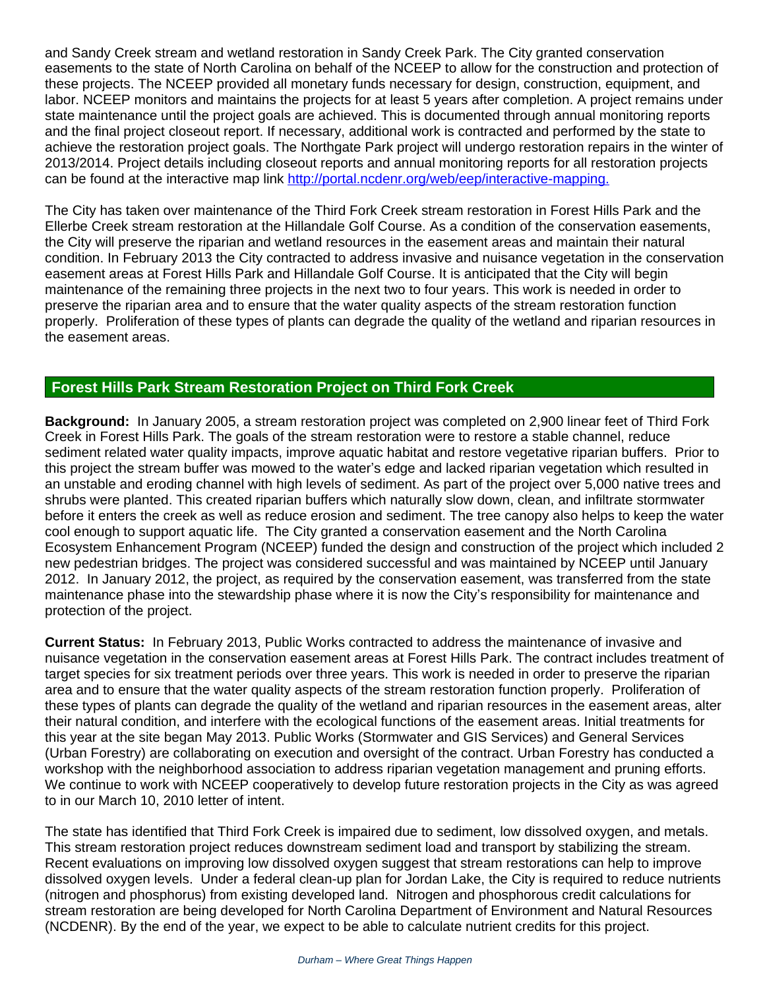and Sandy Creek stream and wetland restoration in Sandy Creek Park. The City granted conservation easements to the state of North Carolina on behalf of the NCEEP to allow for the construction and protection of these projects. The NCEEP provided all monetary funds necessary for design, construction, equipment, and labor. NCEEP monitors and maintains the projects for at least 5 years after completion. A project remains under state maintenance until the project goals are achieved. This is documented through annual monitoring reports and the final project closeout report. If necessary, additional work is contracted and performed by the state to achieve the restoration project goals. The Northgate Park project will undergo restoration repairs in the winter of 2013/2014. Project details including closeout reports and annual monitoring reports for all restoration projects can be found at the interactive map link [http://portal.ncdenr.org/web/eep/interactive-mapping.](http://portal.ncdenr.org/web/eep/interactive-mapping)

The City has taken over maintenance of the Third Fork Creek stream restoration in Forest Hills Park and the Ellerbe Creek stream restoration at the Hillandale Golf Course. As a condition of the conservation easements, the City will preserve the riparian and wetland resources in the easement areas and maintain their natural condition. In February 2013 the City contracted to address invasive and nuisance vegetation in the conservation easement areas at Forest Hills Park and Hillandale Golf Course. It is anticipated that the City will begin maintenance of the remaining three projects in the next two to four years. This work is needed in order to preserve the riparian area and to ensure that the water quality aspects of the stream restoration function properly. Proliferation of these types of plants can degrade the quality of the wetland and riparian resources in the easement areas.

# **Forest Hills Park Stream Restoration Project on Third Fork Creek**

**Background:** In January 2005, a stream restoration project was completed on 2,900 linear feet of Third Fork Creek in Forest Hills Park. The goals of the stream restoration were to restore a stable channel, reduce sediment related water quality impacts, improve aquatic habitat and restore vegetative riparian buffers. Prior to this project the stream buffer was mowed to the water's edge and lacked riparian vegetation which resulted in an unstable and eroding channel with high levels of sediment. As part of the project over 5,000 native trees and shrubs were planted. This created riparian buffers which naturally slow down, clean, and infiltrate stormwater before it enters the creek as well as reduce erosion and sediment. The tree canopy also helps to keep the water cool enough to support aquatic life. The City granted a conservation easement and the North Carolina Ecosystem Enhancement Program (NCEEP) funded the design and construction of the project which included 2 new pedestrian bridges. The project was considered successful and was maintained by NCEEP until January 2012. In January 2012, the project, as required by the conservation easement, was transferred from the state maintenance phase into the stewardship phase where it is now the City's responsibility for maintenance and protection of the project.

**Current Status:** In February 2013, Public Works contracted to address the maintenance of invasive and nuisance vegetation in the conservation easement areas at Forest Hills Park. The contract includes treatment of target species for six treatment periods over three years. This work is needed in order to preserve the riparian area and to ensure that the water quality aspects of the stream restoration function properly. Proliferation of these types of plants can degrade the quality of the wetland and riparian resources in the easement areas, alter their natural condition, and interfere with the ecological functions of the easement areas. Initial treatments for this year at the site began May 2013. Public Works (Stormwater and GIS Services) and General Services (Urban Forestry) are collaborating on execution and oversight of the contract. Urban Forestry has conducted a workshop with the neighborhood association to address riparian vegetation management and pruning efforts. We continue to work with NCEEP cooperatively to develop future restoration projects in the City as was agreed to in our March 10, 2010 letter of intent.

The state has identified that Third Fork Creek is impaired due to sediment, low dissolved oxygen, and metals. This stream restoration project reduces downstream sediment load and transport by stabilizing the stream. Recent evaluations on improving low dissolved oxygen suggest that stream restorations can help to improve dissolved oxygen levels. Under a federal clean-up plan for Jordan Lake, the City is required to reduce nutrients (nitrogen and phosphorus) from existing developed land. Nitrogen and phosphorous credit calculations for stream restoration are being developed for North Carolina Department of Environment and Natural Resources (NCDENR). By the end of the year, we expect to be able to calculate nutrient credits for this project.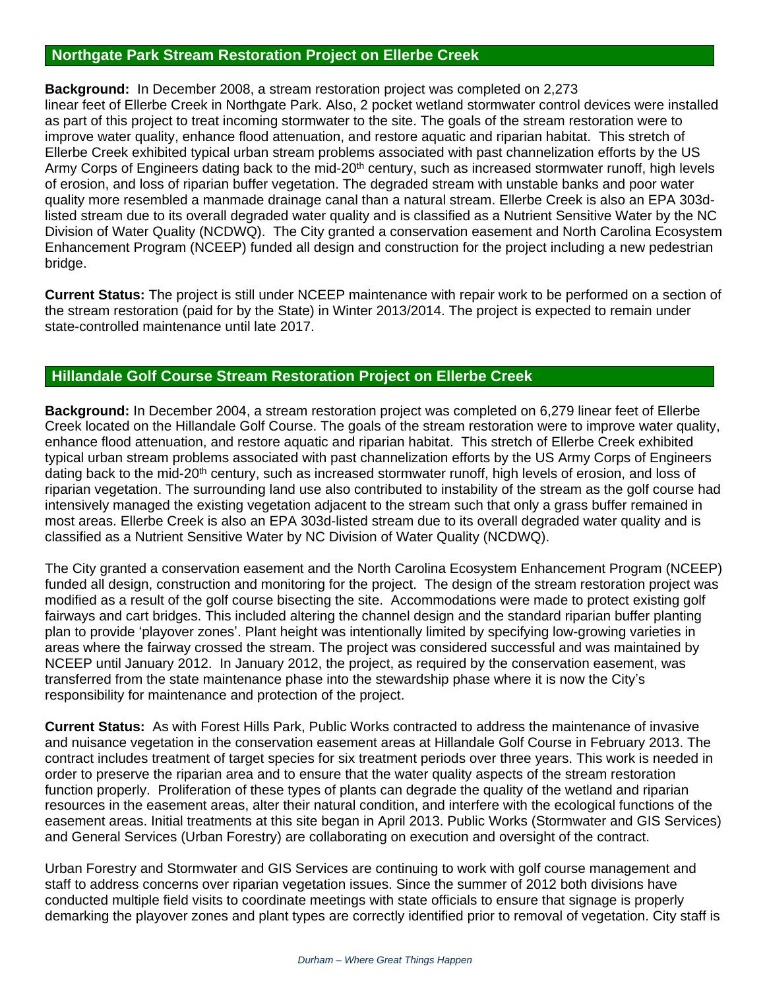# **Northgate Park Stream Restoration Project on Ellerbe Creek**

**Background:** In December 2008, a stream restoration project was completed on 2,273 linear feet of Ellerbe Creek in Northgate Park. Also, 2 pocket wetland stormwater control devices were installed as part of this project to treat incoming stormwater to the site. The goals of the stream restoration were to improve water quality, enhance flood attenuation, and restore aquatic and riparian habitat. This stretch of Ellerbe Creek exhibited typical urban stream problems associated with past channelization efforts by the US Army Corps of Engineers dating back to the mid-20<sup>th</sup> century, such as increased stormwater runoff, high levels of erosion, and loss of riparian buffer vegetation. The degraded stream with unstable banks and poor water quality more resembled a manmade drainage canal than a natural stream. Ellerbe Creek is also an EPA 303dlisted stream due to its overall degraded water quality and is classified as a Nutrient Sensitive Water by the NC Division of Water Quality (NCDWQ). The City granted a conservation easement and North Carolina Ecosystem Enhancement Program (NCEEP) funded all design and construction for the project including a new pedestrian bridge.

**Current Status:** The project is still under NCEEP maintenance with repair work to be performed on a section of the stream restoration (paid for by the State) in Winter 2013/2014. The project is expected to remain under state-controlled maintenance until late 2017.

### **Hillandale Golf Course Stream Restoration Project on Ellerbe Creek**

**Background:** In December 2004, a stream restoration project was completed on 6,279 linear feet of Ellerbe Creek located on the Hillandale Golf Course. The goals of the stream restoration were to improve water quality, enhance flood attenuation, and restore aquatic and riparian habitat. This stretch of Ellerbe Creek exhibited typical urban stream problems associated with past channelization efforts by the US Army Corps of Engineers dating back to the mid-20<sup>th</sup> century, such as increased stormwater runoff, high levels of erosion, and loss of riparian vegetation. The surrounding land use also contributed to instability of the stream as the golf course had intensively managed the existing vegetation adjacent to the stream such that only a grass buffer remained in most areas. Ellerbe Creek is also an EPA 303d-listed stream due to its overall degraded water quality and is classified as a Nutrient Sensitive Water by NC Division of Water Quality (NCDWQ).

The City granted a conservation easement and the North Carolina Ecosystem Enhancement Program (NCEEP) funded all design, construction and monitoring for the project. The design of the stream restoration project was modified as a result of the golf course bisecting the site. Accommodations were made to protect existing golf fairways and cart bridges. This included altering the channel design and the standard riparian buffer planting plan to provide 'playover zones'. Plant height was intentionally limited by specifying low-growing varieties in areas where the fairway crossed the stream. The project was considered successful and was maintained by NCEEP until January 2012. In January 2012, the project, as required by the conservation easement, was transferred from the state maintenance phase into the stewardship phase where it is now the City's responsibility for maintenance and protection of the project.

**Current Status:** As with Forest Hills Park, Public Works contracted to address the maintenance of invasive and nuisance vegetation in the conservation easement areas at Hillandale Golf Course in February 2013. The contract includes treatment of target species for six treatment periods over three years. This work is needed in order to preserve the riparian area and to ensure that the water quality aspects of the stream restoration function properly. Proliferation of these types of plants can degrade the quality of the wetland and riparian resources in the easement areas, alter their natural condition, and interfere with the ecological functions of the easement areas. Initial treatments at this site began in April 2013. Public Works (Stormwater and GIS Services) and General Services (Urban Forestry) are collaborating on execution and oversight of the contract.

Urban Forestry and Stormwater and GIS Services are continuing to work with golf course management and staff to address concerns over riparian vegetation issues. Since the summer of 2012 both divisions have conducted multiple field visits to coordinate meetings with state officials to ensure that signage is properly demarking the playover zones and plant types are correctly identified prior to removal of vegetation. City staff is